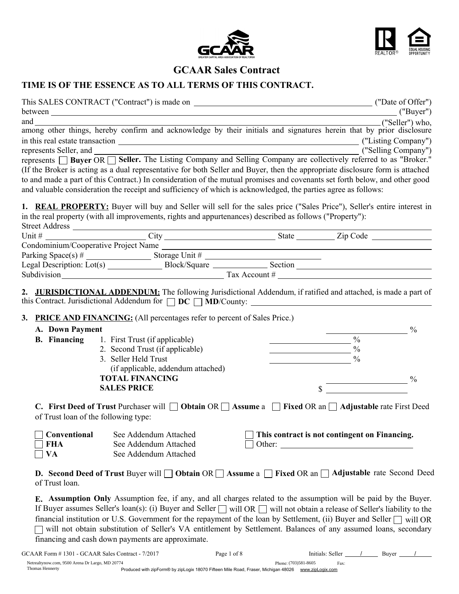



## GCAAR Sales Contract

## TIME IS OF THE ESSENCE AS TO ALL TERMS OF THIS CONTRACT.

|                 |                                                                                                                | and canong other things, hereby confirm and acknowledge by their initials and signatures herein that by prior disclosure                                                                                                      |
|-----------------|----------------------------------------------------------------------------------------------------------------|-------------------------------------------------------------------------------------------------------------------------------------------------------------------------------------------------------------------------------|
|                 |                                                                                                                |                                                                                                                                                                                                                               |
|                 |                                                                                                                |                                                                                                                                                                                                                               |
|                 |                                                                                                                |                                                                                                                                                                                                                               |
|                 |                                                                                                                | represents Seller, and<br>represents $\Box$ Buyer OR $\Box$ Seller. The Listing Company and Selling Company are collectively referred to as "Broker."                                                                         |
|                 |                                                                                                                | (If the Broker is acting as a dual representative for both Seller and Buyer, then the appropriate disclosure form is attached                                                                                                 |
|                 |                                                                                                                | to and made a part of this Contract.) In consideration of the mutual promises and covenants set forth below, and other good                                                                                                   |
|                 | and valuable consideration the receipt and sufficiency of which is acknowledged, the parties agree as follows: |                                                                                                                                                                                                                               |
|                 | in the real property (with all improvements, rights and appurtenances) described as follows ("Property"):      | <b>1. REAL PROPERTY:</b> Buyer will buy and Seller will sell for the sales price ("Sales Price"), Seller's entire interest in                                                                                                 |
|                 |                                                                                                                |                                                                                                                                                                                                                               |
|                 | Condominium/Cooperative Project Name                                                                           |                                                                                                                                                                                                                               |
|                 |                                                                                                                |                                                                                                                                                                                                                               |
|                 |                                                                                                                | Parking Space(s) $\#$ Storage Unit $\#$ Storage Unit $\#$ Section Section 2. Legal Description: Lot(s) Section Section Section Section Section Section Section Section Section Section Section Section Section Section Sectio |
|                 |                                                                                                                |                                                                                                                                                                                                                               |
|                 |                                                                                                                | 2. JURISDICTIONAL ADDENDUM: The following Jurisdictional Addendum, if ratified and attached, is made a part of                                                                                                                |
|                 | <b>3. PRICE AND FINANCING:</b> (All percentages refer to percent of Sales Price.)                              |                                                                                                                                                                                                                               |
| A. Down Payment |                                                                                                                | $\frac{0}{0}$                                                                                                                                                                                                                 |
|                 | <b>B. Financing</b> 1. First Trust (if applicable)                                                             | $\sim$ $\sim$ $\sim$                                                                                                                                                                                                          |
|                 | 2. Second Trust (if applicable)                                                                                | $\sim$ $\sim$ $\sim$ $\sim$ $\sim$                                                                                                                                                                                            |
|                 |                                                                                                                |                                                                                                                                                                                                                               |

3. Seller Held Trust  $\%$ (if applicable, addendum attached) TOTAL FINANCING  $\%$  $S$ ALES PRICE  $\sim$ 

C. First Deed of Trust Purchaser will  $\Box$  Obtain OR  $\Box$  Assume a  $\Box$  Fixed OR an  $\Box$  Adjustable rate First Deed of Trust loan of the following type:

| $\Box$ Conventional | See Addendum Attached | $\Box$ This contract is not contingent on Financing. |
|---------------------|-----------------------|------------------------------------------------------|
| $\Box$ FHA          | See Addendum Attached | $\vert$ Other:                                       |
| $\neg$ VA           | See Addendum Attached |                                                      |

**D.** Second Deed of Trust Buyer will  $\Box$  Obtain OR  $\Box$  Assume a  $\Box$  Fixed OR an  $\Box$  Adjustable rate Second Deed of Trust loan.

E. Assumption Only Assumption fee, if any, and all charges related to the assumption will be paid by the Buyer. If Buyer assumes Seller's loan(s): (i) Buyer and Seller  $\Box$  will OR  $\Box$  will not obtain a release of Seller's liability to the financial institution or U.S. Government for the repayment of the loan by Settlement, (ii) Buyer and Seller  $\Box$  will OR will not obtain substitution of Seller's VA entitlement by Settlement. Balances of any assumed loans, secondary financing and cash down payments are approximate.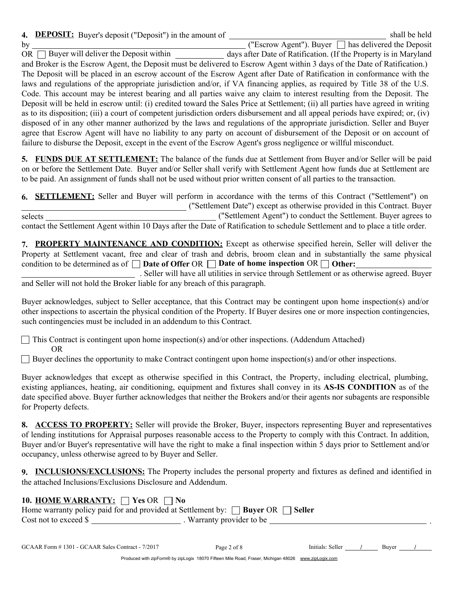4. **DEPOSIT:** Buyer's deposit ("Deposit") in the amount of shall be held  $\frac{1}{2}$  by  $\frac{1}{2}$  buyer surfaces (Beposit ) in the amount of  $\frac{1}{2}$  ("Escrow Agent"). Buyer  $\Box$  has delivered the Deposit OR  $\Box$  Buyer will deliver the Deposit within days after Date of Ratification. (If the Property is in Maryland and Broker is the Escrow Agent, the Deposit must be delivered to Escrow Agent within 3 days of the Date of Ratification.) The Deposit will be placed in an escrow account of the Escrow Agent after Date of Ratification in conformance with the . laws and regulations of the appropriate jurisdiction and/or, if VA financing applies, as required by Title 38 of the U.S. Code. This account may be interest bearing and all parties waive any claim to interest resulting from the Deposit. The Deposit will be held in escrow until: (i) credited toward the Sales Price at Settlement; (ii) all parties have agreed in writing as to its disposition; (iii) a court of competent jurisdiction orders disbursement and all appeal periods have expired; or, (iv) disposed of in any other manner authorized by the laws and regulations of the appropriate jurisdiction. Seller and Buyer agree that Escrow Agent will have no liability to any party on account of disbursement of the Deposit or on account of failure to disburse the Deposit, except in the event of the Escrow Agent's gross negligence or willful misconduct.

5. FUNDS DUE AT SETTLEMENT: The balance of the funds due at Settlement from Buyer and/or Seller will be paid on or before the Settlement Date. Buyer and/or Seller shall verify with Settlement Agent how funds due at Settlement are to be paid. An assignment of funds shall not be used without prior written consent of all parties to the transaction.

|         | 6. <b>SETTLEMENT:</b> Seller and Buyer will perform in accordance with the terms of this Contract ("Settlement") on           |
|---------|-------------------------------------------------------------------------------------------------------------------------------|
|         | ("Settlement Date") except as otherwise provided in this Contract. Buyer                                                      |
| selects | ("Settlement Agent") to conduct the Settlement. Buyer agrees to                                                               |
|         | contact the Settlement Agent within 10 Days after the Date of Ratification to schedule Settlement and to place a title order. |

7. PROPERTY MAINTENANCE AND CONDITION: Except as otherwise specified herein, Seller will deliver the Property at Settlement vacant, free and clear of trash and debris, broom clean and in substantially the same physical condition to be determined as of  $\square$  Date of Offer OR  $\square$  Date of home inspection OR  $\square$  Other:

. Seller will have all utilities in service through Settlement or as otherwise agreed. Buyer and Seller will not hold the Broker liable for any breach of this paragraph.

Buyer acknowledges, subject to Seller acceptance, that this Contract may be contingent upon home inspection(s) and/or other inspections to ascertain the physical condition of the Property. If Buyer desires one or more inspection contingencies, such contingencies must be included in an addendum to this Contract.

 $\Box$  This Contract is contingent upon home inspection(s) and/or other inspections. (Addendum Attached) OR

 $\Box$  Buyer declines the opportunity to make Contract contingent upon home inspection(s) and/or other inspections.

Buyer acknowledges that except as otherwise specified in this Contract, the Property, including electrical, plumbing, existing appliances, heating, air conditioning, equipment and fixtures shall convey in its AS-IS CONDITION as of the date specified above. Buyer further acknowledges that neither the Brokers and/or their agents nor subagents are responsible for Property defects.

8. ACCESS TO PROPERTY: Seller will provide the Broker, Buyer, inspectors representing Buyer and representatives of lending institutions for Appraisal purposes reasonable access to the Property to comply with this Contract. In addition, Buyer and/or Buyer's representative will have the right to make a final inspection within 5 days prior to Settlement and/or occupancy, unless otherwise agreed to by Buyer and Seller.

9. INCLUSIONS/EXCLUSIONS: The Property includes the personal property and fixtures as defined and identified in the attached Inclusions/Exclusions Disclosure and Addendum.

| 10. HOME WARRANTY: $\Box$ Yes OR $\Box$ No |                                                                                            |  |
|--------------------------------------------|--------------------------------------------------------------------------------------------|--|
|                                            | Home warranty policy paid for and provided at Settlement by: $\Box$ Buyer OR $\Box$ Seller |  |
| Cost not to exceed \$                      | . Warranty provider to be                                                                  |  |
|                                            |                                                                                            |  |

Produced with zipForm® by zipLogix 18070 Fifteen Mile Road, Fraser, Michigan 48026 www.zipLogix.com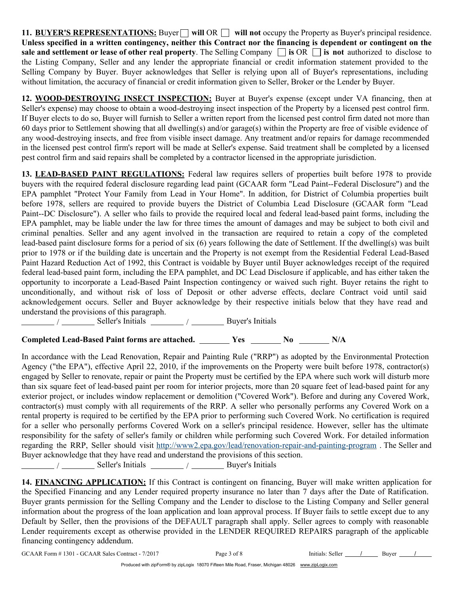11. BUYER'S REPRESENTATIONS: Buyer  $\Box$  will OR  $\Box$  will not occupy the Property as Buyer's principal residence. Unless specified in a written contingency, neither this Contract nor the financing is dependent or contingent on the sale and settlement or lease of other real property. The Selling Company  $\Box$  is OR  $\Box$  is not authorized to disclose to the Listing Company, Seller and any lender the appropriate financial or credit information statement provided to the Selling Company by Buyer. Buyer acknowledges that Seller is relying upon all of Buyer's representations, including without limitation, the accuracy of financial or credit information given to Seller, Broker or the Lender by Buyer.

12. WOOD-DESTROYING INSECT INSPECTION: Buyer at Buyer's expense (except under VA financing, then at Seller's expense) may choose to obtain a wood-destroying insect inspection of the Property by a licensed pest control firm. If Buyer elects to do so, Buyer will furnish to Seller a written report from the licensed pest control firm dated not more than 60 days prior to Settlement showing that all dwelling(s) and/or garage(s) within the Property are free of visible evidence of any wood-destroying insects, and free from visible insect damage. Any treatment and/or repairs for damage recommended in the licensed pest control firm's report will be made at Seller's expense. Said treatment shall be completed by a licensed pest control firm and said repairs shall be completed by a contractor licensed in the appropriate jurisdiction.

13. LEAD-BASED PAINT REGULATIONS: Federal law requires sellers of properties built before 1978 to provide buyers with the required federal disclosure regarding lead paint (GCAAR form "Lead Paint--Federal Disclosure") and the EPA pamphlet "Protect Your Family from Lead in Your Home". In addition, for District of Columbia properties built before 1978, sellers are required to provide buyers the District of Columbia Lead Disclosure (GCAAR form "Lead Paint--DC Disclosure"). A seller who fails to provide the required local and federal lead-based paint forms, including the EPA pamphlet, may be liable under the law for three times the amount of damages and may be subject to both civil and criminal penalties. Seller and any agent involved in the transaction are required to retain a copy of the completed lead-based paint disclosure forms for a period of six (6) years following the date of Settlement. If the dwelling(s) was built prior to 1978 or if the building date is uncertain and the Property is not exempt from the Residential Federal Lead-Based Paint Hazard Reduction Act of 1992, this Contract is voidable by Buyer until Buyer acknowledges receipt of the required federal lead-based paint form, including the EPA pamphlet, and DC Lead Disclosure if applicable, and has either taken the opportunity to incorporate a Lead-Based Paint Inspection contingency or waived such right. Buyer retains the right to unconditionally, and without risk of loss of Deposit or other adverse effects, declare Contract void until said acknowledgement occurs. Seller and Buyer acknowledge by their respective initials below that they have read and understand the provisions of this paragraph.

 $\frac{1}{\sqrt{2\pi}}$  /  $\frac{1}{\sqrt{2\pi}}$  Seller's Initials  $\frac{1}{\sqrt{2\pi}}$  /  $\frac{1}{\sqrt{2\pi}}$  Buyer's Initials

Completed Lead-Based Paint forms are attached. Yes No N/A

In accordance with the Lead Renovation, Repair and Painting Rule ("RRP") as adopted by the Environmental Protection Agency ("the EPA"), effective April 22, 2010, if the improvements on the Property were built before 1978, contractor(s) engaged by Seller to renovate, repair or paint the Property must be certified by the EPA where such work will disturb more than six square feet of lead-based paint per room for interior projects, more than 20 square feet of lead-based paint for any exterior project, or includes window replacement or demolition ("Covered Work"). Before and during any Covered Work, contractor(s) must comply with all requirements of the RRP. A seller who personally performs any Covered Work on a rental property is required to be certified by the EPA prior to performing such Covered Work. No certification is required for a seller who personally performs Covered Work on a seller's principal residence. However, seller has the ultimate responsibility for the safety of seller's family or children while performing such Covered Work. For detailed information regarding the RRP, Seller should visit http://www2.epa.gov/lead/renovation-repair-and-painting-program . The Seller and Buyer acknowledge that they have read and understand the provisions of this section. / Seller's Initials \_\_\_\_\_\_\_\_\_ / \_\_\_\_\_\_\_\_ Buyer's Initials

14. FINANCING APPLICATION: If this Contract is contingent on financing, Buyer will make written application for the Specified Financing and any Lender required property insurance no later than 7 days after the Date of Ratification. Buyer grants permission for the Selling Company and the Lender to disclose to the Listing Company and Seller general information about the progress of the loan application and loan approval process. If Buyer fails to settle except due to any Default by Seller, then the provisions of the DEFAULT paragraph shall apply. Seller agrees to comply with reasonable Lender requirements except as otherwise provided in the LENDER REQUIRED REPAIRS paragraph of the applicable financing contingency addendum.

| GCAAR Form #1301 - GCAAR Sales Contract - 7/2017 | Page 3<br>ot 8 | Initials: Seller | Buver |  |
|--------------------------------------------------|----------------|------------------|-------|--|
|                                                  |                |                  |       |  |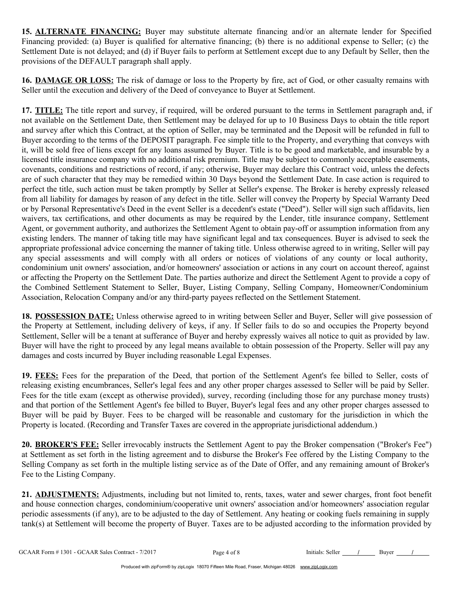15. ALTERNATE FINANCING: Buyer may substitute alternate financing and/or an alternate lender for Specified Financing provided: (a) Buyer is qualified for alternative financing; (b) there is no additional expense to Seller; (c) the Settlement Date is not delayed; and (d) if Buyer fails to perform at Settlement except due to any Default by Seller, then the provisions of the DEFAULT paragraph shall apply.

16. DAMAGE OR LOSS: The risk of damage or loss to the Property by fire, act of God, or other casualty remains with Seller until the execution and delivery of the Deed of conveyance to Buyer at Settlement.

17. TITLE: The title report and survey, if required, will be ordered pursuant to the terms in Settlement paragraph and, if not available on the Settlement Date, then Settlement may be delayed for up to 10 Business Days to obtain the title report and survey after which this Contract, at the option of Seller, may be terminated and the Deposit will be refunded in full to Buyer according to the terms of the DEPOSIT paragraph. Fee simple title to the Property, and everything that conveys with it, will be sold free of liens except for any loans assumed by Buyer. Title is to be good and marketable, and insurable by a licensed title insurance company with no additional risk premium. Title may be subject to commonly acceptable easements, covenants, conditions and restrictions of record, if any; otherwise, Buyer may declare this Contract void, unless the defects are of such character that they may be remedied within 30 Days beyond the Settlement Date. In case action is required to perfect the title, such action must be taken promptly by Seller at Seller's expense. The Broker is hereby expressly released from all liability for damages by reason of any defect in the title. Seller will convey the Property by Special Warranty Deed or by Personal Representative's Deed in the event Seller is a decedent's estate ("Deed"). Seller will sign such affidavits, lien waivers, tax certifications, and other documents as may be required by the Lender, title insurance company, Settlement Agent, or government authority, and authorizes the Settlement Agent to obtain pay-off or assumption information from any existing lenders. The manner of taking title may have significant legal and tax consequences. Buyer is advised to seek the appropriate professional advice concerning the manner of taking title. Unless otherwise agreed to in writing, Seller will pay any special assessments and will comply with all orders or notices of violations of any county or local authority, condominium unit owners' association, and/or homeowners' association or actions in any court on account thereof, against or affecting the Property on the Settlement Date. The parties authorize and direct the Settlement Agent to provide a copy of the Combined Settlement Statement to Seller, Buyer, Listing Company, Selling Company, Homeowner/Condominium Association, Relocation Company and/or any third-party payees reflected on the Settlement Statement.

18. POSSESSION DATE: Unless otherwise agreed to in writing between Seller and Buyer, Seller will give possession of the Property at Settlement, including delivery of keys, if any. If Seller fails to do so and occupies the Property beyond Settlement, Seller will be a tenant at sufferance of Buyer and hereby expressly waives all notice to quit as provided by law. Buyer will have the right to proceed by any legal means available to obtain possession of the Property. Seller will pay any damages and costs incurred by Buyer including reasonable Legal Expenses.

19. FEES: Fees for the preparation of the Deed, that portion of the Settlement Agent's fee billed to Seller, costs of releasing existing encumbrances, Seller's legal fees and any other proper charges assessed to Seller will be paid by Seller. Fees for the title exam (except as otherwise provided), survey, recording (including those for any purchase money trusts) and that portion of the Settlement Agent's fee billed to Buyer, Buyer's legal fees and any other proper charges assessed to Buyer will be paid by Buyer. Fees to be charged will be reasonable and customary for the jurisdiction in which the Property is located. (Recording and Transfer Taxes are covered in the appropriate jurisdictional addendum.)

20. BROKER'S FEE: Seller irrevocably instructs the Settlement Agent to pay the Broker compensation ("Broker's Fee") at Settlement as set forth in the listing agreement and to disburse the Broker's Fee offered by the Listing Company to the Selling Company as set forth in the multiple listing service as of the Date of Offer, and any remaining amount of Broker's Fee to the Listing Company.

21. ADJUSTMENTS: Adjustments, including but not limited to, rents, taxes, water and sewer charges, front foot benefit and house connection charges, condominium/cooperative unit owners' association and/or homeowners' association regular periodic assessments (if any), are to be adjusted to the day of Settlement. Any heating or cooking fuels remaining in supply tank(s) at Settlement will become the property of Buyer. Taxes are to be adjusted according to the information provided by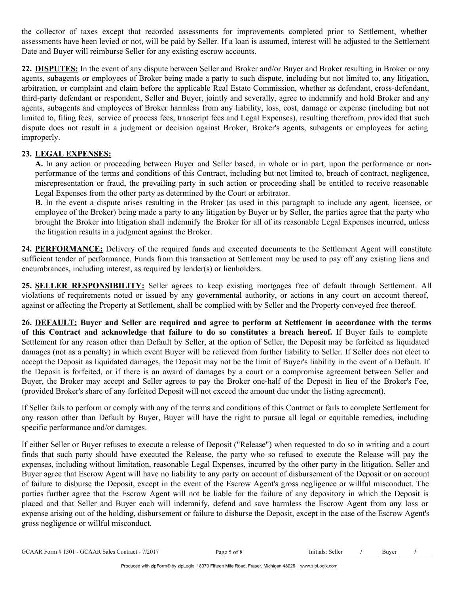the collector of taxes except that recorded assessments for improvements completed prior to Settlement, whether assessments have been levied or not, will be paid by Seller. If a loan is assumed, interest will be adjusted to the Settlement Date and Buyer will reimburse Seller for any existing escrow accounts.

22. DISPUTES: In the event of any dispute between Seller and Broker and/or Buyer and Broker resulting in Broker or any agents, subagents or employees of Broker being made a party to such dispute, including but not limited to, any litigation, arbitration, or complaint and claim before the applicable Real Estate Commission, whether as defendant, cross-defendant, third-party defendant or respondent, Seller and Buyer, jointly and severally, agree to indemnify and hold Broker and any agents, subagents and employees of Broker harmless from any liability, loss, cost, damage or expense (including but not limited to, filing fees, service of process fees, transcript fees and Legal Expenses), resulting therefrom, provided that such dispute does not result in a judgment or decision against Broker, Broker's agents, subagents or employees for acting improperly.

## 23. LEGAL EXPENSES:

A. In any action or proceeding between Buyer and Seller based, in whole or in part, upon the performance or nonperformance of the terms and conditions of this Contract, including but not limited to, breach of contract, negligence, misrepresentation or fraud, the prevailing party in such action or proceeding shall be entitled to receive reasonable Legal Expenses from the other party as determined by the Court or arbitrator.

B. In the event a dispute arises resulting in the Broker (as used in this paragraph to include any agent, licensee, or employee of the Broker) being made a party to any litigation by Buyer or by Seller, the parties agree that the party who brought the Broker into litigation shall indemnify the Broker for all of its reasonable Legal Expenses incurred, unless the litigation results in a judgment against the Broker.

24. PERFORMANCE: Delivery of the required funds and executed documents to the Settlement Agent will constitute sufficient tender of performance. Funds from this transaction at Settlement may be used to pay off any existing liens and encumbrances, including interest, as required by lender(s) or lienholders.

25. SELLER RESPONSIBILITY: Seller agrees to keep existing mortgages free of default through Settlement. All violations of requirements noted or issued by any governmental authority, or actions in any court on account thereof, against or affecting the Property at Settlement, shall be complied with by Seller and the Property conveyed free thereof.

26. DEFAULT: Buyer and Seller are required and agree to perform at Settlement in accordance with the terms of this Contract and acknowledge that failure to do so constitutes a breach hereof. If Buyer fails to complete Settlement for any reason other than Default by Seller, at the option of Seller, the Deposit may be forfeited as liquidated damages (not as a penalty) in which event Buyer will be relieved from further liability to Seller. If Seller does not elect to accept the Deposit as liquidated damages, the Deposit may not be the limit of Buyer's liability in the event of a Default. If the Deposit is forfeited, or if there is an award of damages by a court or a compromise agreement between Seller and Buyer, the Broker may accept and Seller agrees to pay the Broker one-half of the Deposit in lieu of the Broker's Fee, (provided Broker's share of any forfeited Deposit will not exceed the amount due under the listing agreement).

If Seller fails to perform or comply with any of the terms and conditions of this Contract or fails to complete Settlement for any reason other than Default by Buyer, Buyer will have the right to pursue all legal or equitable remedies, including specific performance and/or damages.

If either Seller or Buyer refuses to execute a release of Deposit ("Release") when requested to do so in writing and a court finds that such party should have executed the Release, the party who so refused to execute the Release will pay the expenses, including without limitation, reasonable Legal Expenses, incurred by the other party in the litigation. Seller and Buyer agree that Escrow Agent will have no liability to any party on account of disbursement of the Deposit or on account of failure to disburse the Deposit, except in the event of the Escrow Agent's gross negligence or willful misconduct. The parties further agree that the Escrow Agent will not be liable for the failure of any depository in which the Deposit is placed and that Seller and Buyer each will indemnify, defend and save harmless the Escrow Agent from any loss or expense arising out of the holding, disbursement or failure to disburse the Deposit, except in the case of the Escrow Agent's gross negligence or willful misconduct.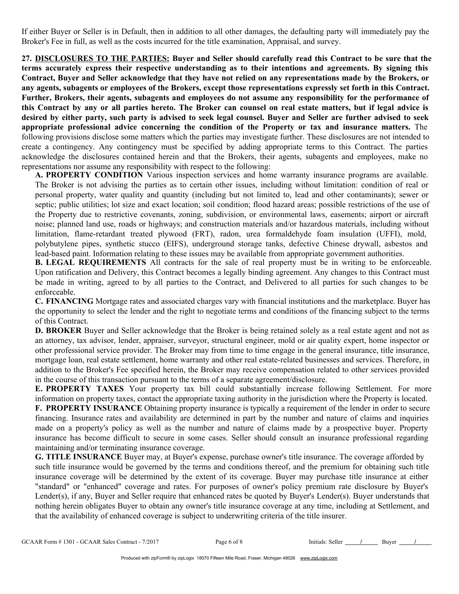If either Buyer or Seller is in Default, then in addition to all other damages, the defaulting party will immediately pay the Broker's Fee in full, as well as the costs incurred for the title examination, Appraisal, and survey.

27. DISCLOSURES TO THE PARTIES: Buyer and Seller should carefully read this Contract to be sure that the terms accurately express their respective understanding as to their intentions and agreements. By signing this Contract, Buyer and Seller acknowledge that they have not relied on any representations made by the Brokers, or any agents, subagents or employees of the Brokers, except those representations expressly set forth in this Contract. Further, Brokers, their agents, subagents and employees do not assume any responsibility for the performance of this Contract by any or all parties hereto. The Broker can counsel on real estate matters, but if legal advice is desired by either party, such party is advised to seek legal counsel. Buyer and Seller are further advised to seek appropriate professional advice concerning the condition of the Property or tax and insurance matters. The following provisions disclose some matters which the parties may investigate further. These disclosures are not intended to create a contingency. Any contingency must be specified by adding appropriate terms to this Contract. The parties acknowledge the disclosures contained herein and that the Brokers, their agents, subagents and employees, make no representations nor assume any responsibility with respect to the following:

A. PROPERTY CONDITION Various inspection services and home warranty insurance programs are available. The Broker is not advising the parties as to certain other issues, including without limitation: condition of real or personal property, water quality and quantity (including but not limited to, lead and other contaminants); sewer or septic; public utilities; lot size and exact location; soil condition; flood hazard areas; possible restrictions of the use of the Property due to restrictive covenants, zoning, subdivision, or environmental laws, easements; airport or aircraft noise; planned land use, roads or highways; and construction materials and/or hazardous materials, including without limitation, flame-retardant treated plywood (FRT), radon, urea formaldehyde foam insulation (UFFI), mold, polybutylene pipes, synthetic stucco (EIFS), underground storage tanks, defective Chinese drywall, asbestos and lead-based paint. Information relating to these issues may be available from appropriate government authorities.

B. LEGAL REQUIREMENTS All contracts for the sale of real property must be in writing to be enforceable. Upon ratification and Delivery, this Contract becomes a legally binding agreement. Any changes to this Contract must be made in writing, agreed to by all parties to the Contract, and Delivered to all parties for such changes to be enforceable.

C. FINANCING Mortgage rates and associated charges vary with financial institutions and the marketplace. Buyer has the opportunity to select the lender and the right to negotiate terms and conditions of the financing subject to the terms of this Contract.

D. BROKER Buyer and Seller acknowledge that the Broker is being retained solely as a real estate agent and not as an attorney, tax advisor, lender, appraiser, surveyor, structural engineer, mold or air quality expert, home inspector or other professional service provider. The Broker may from time to time engage in the general insurance, title insurance, mortgage loan, real estate settlement, home warranty and other real estate-related businesses and services. Therefore, in addition to the Broker's Fee specified herein, the Broker may receive compensation related to other services provided in the course of this transaction pursuant to the terms of a separate agreement/disclosure.

E. PROPERTY TAXES Your property tax bill could substantially increase following Settlement. For more information on property taxes, contact the appropriate taxing authority in the jurisdiction where the Property is located.

F. PROPERTY INSURANCE Obtaining property insurance is typically a requirement of the lender in order to secure financing. Insurance rates and availability are determined in part by the number and nature of claims and inquiries made on a property's policy as well as the number and nature of claims made by a prospective buyer. Property insurance has become difficult to secure in some cases. Seller should consult an insurance professional regarding maintaining and/or terminating insurance coverage.

G. TITLE INSURANCE Buyer may, at Buyer's expense, purchase owner's title insurance. The coverage afforded by such title insurance would be governed by the terms and conditions thereof, and the premium for obtaining such title insurance coverage will be determined by the extent of its coverage. Buyer may purchase title insurance at either "standard" or "enhanced" coverage and rates. For purposes of owner's policy premium rate disclosure by Buyer's Lender(s), if any, Buyer and Seller require that enhanced rates be quoted by Buyer's Lender(s). Buyer understands that nothing herein obligates Buyer to obtain any owner's title insurance coverage at any time, including at Settlement, and that the availability of enhanced coverage is subject to underwriting criteria of the title insurer.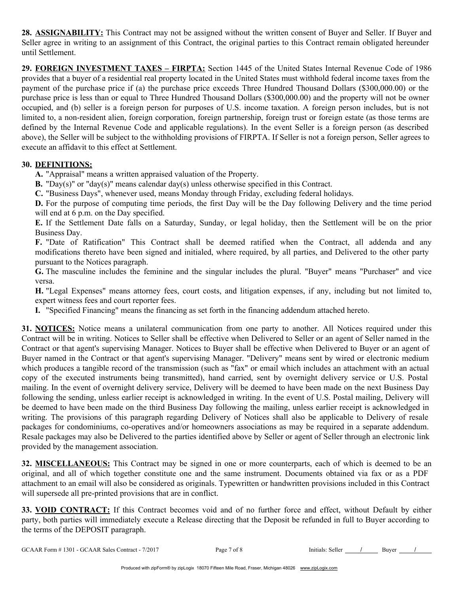28. ASSIGNABILITY: This Contract may not be assigned without the written consent of Buyer and Seller. If Buyer and Seller agree in writing to an assignment of this Contract, the original parties to this Contract remain obligated hereunder until Settlement.

29. FOREIGN INVESTMENT TAXES – FIRPTA: Section 1445 of the United States Internal Revenue Code of 1986 provides that a buyer of a residential real property located in the United States must withhold federal income taxes from the payment of the purchase price if (a) the purchase price exceeds Three Hundred Thousand Dollars (\$300,000.00) or the purchase price is less than or equal to Three Hundred Thousand Dollars (\$300,000.00) and the property will not be owner occupied, and (b) seller is a foreign person for purposes of U.S. income taxation. A foreign person includes, but is not limited to, a non-resident alien, foreign corporation, foreign partnership, foreign trust or foreign estate (as those terms are defined by the Internal Revenue Code and applicable regulations). In the event Seller is a foreign person (as described above), the Seller will be subject to the withholding provisions of FIRPTA. If Seller is not a foreign person, Seller agrees to execute an affidavit to this effect at Settlement.

## 30. DEFINITIONS:

A. "Appraisal" means a written appraised valuation of the Property.

**B.** "Day(s)" or "day(s)" means calendar day(s) unless otherwise specified in this Contract.

C. "Business Days", whenever used, means Monday through Friday, excluding federal holidays.

D. For the purpose of computing time periods, the first Day will be the Day following Delivery and the time period will end at 6 p.m. on the Day specified.

E. If the Settlement Date falls on a Saturday, Sunday, or legal holiday, then the Settlement will be on the prior Business Day.

F. "Date of Ratification" This Contract shall be deemed ratified when the Contract, all addenda and any modifications thereto have been signed and initialed, where required, by all parties, and Delivered to the other party pursuant to the Notices paragraph.

G. The masculine includes the feminine and the singular includes the plural. "Buyer" means "Purchaser" and vice versa.

H. "Legal Expenses" means attorney fees, court costs, and litigation expenses, if any, including but not limited to, expert witness fees and court reporter fees.

I. "Specified Financing" means the financing as set forth in the financing addendum attached hereto.

31. NOTICES: Notice means a unilateral communication from one party to another. All Notices required under this Contract will be in writing. Notices to Seller shall be effective when Delivered to Seller or an agent of Seller named in the Contract or that agent's supervising Manager. Notices to Buyer shall be effective when Delivered to Buyer or an agent of Buyer named in the Contract or that agent's supervising Manager. "Delivery" means sent by wired or electronic medium which produces a tangible record of the transmission (such as "fax" or email which includes an attachment with an actual copy of the executed instruments being transmitted), hand carried, sent by overnight delivery service or U.S. Postal mailing. In the event of overnight delivery service, Delivery will be deemed to have been made on the next Business Day following the sending, unless earlier receipt is acknowledged in writing. In the event of U.S. Postal mailing, Delivery will be deemed to have been made on the third Business Day following the mailing, unless earlier receipt is acknowledged in writing. The provisions of this paragraph regarding Delivery of Notices shall also be applicable to Delivery of resale packages for condominiums, co-operatives and/or homeowners associations as may be required in a separate addendum. Resale packages may also be Delivered to the parties identified above by Seller or agent of Seller through an electronic link provided by the management association.

32. MISCELLANEOUS: This Contract may be signed in one or more counterparts, each of which is deemed to be an original, and all of which together constitute one and the same instrument. Documents obtained via fax or as a PDF attachment to an email will also be considered as originals. Typewritten or handwritten provisions included in this Contract will supersede all pre-printed provisions that are in conflict.

33. VOID CONTRACT: If this Contract becomes void and of no further force and effect, without Default by either party, both parties will immediately execute a Release directing that the Deposit be refunded in full to Buyer according to the terms of the DEPOSIT paragraph.